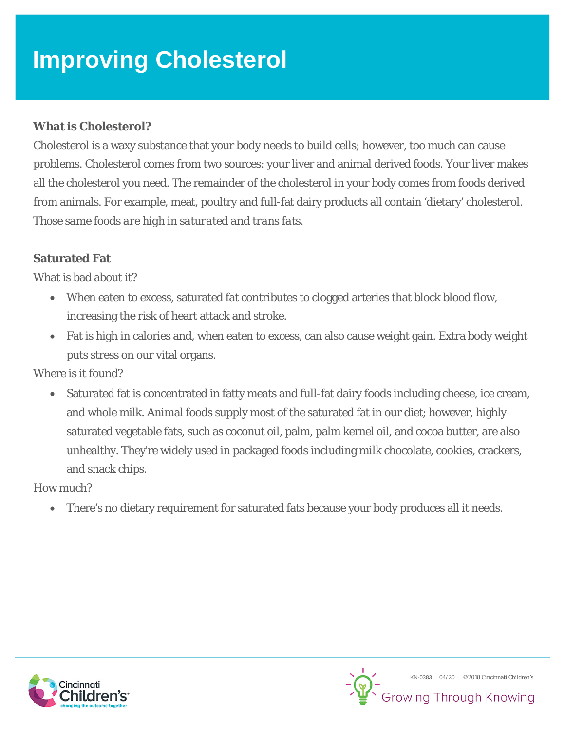# **Improving Cholesterol**

### **What is Cholesterol?**

Cholesterol is a waxy substance that your body needs to build cells; however, too much can cause problems. Cholesterol comes from two sources: your liver and animal derived foods. Your liver makes all the cholesterol you need. The remainder of the cholesterol in your body comes from foods derived from animals. For example, meat, poultry and full-fat dairy products all contain 'dietary' cholesterol. *Those same foods are high in saturated and trans fats.*

#### **Saturated Fat**

What is bad about it?

- When eaten to excess, saturated fat contributes to clogged arteries that block blood flow, increasing the risk of heart attack and stroke.
- Fat is high in calories and, when eaten to excess, can also cause weight gain. Extra body weight puts stress on our vital organs.

Where is it found?

Saturated fat is concentrated in fatty meats and full-fat dairy foods including cheese, ice cream, and whole milk. Animal foods supply most of the saturated fat in our diet; however, highly saturated vegetable fats, such as coconut oil, palm, palm kernel oil, and cocoa butter, are also unhealthy. They're widely used in packaged foods including milk chocolate, cookies, crackers, and snack chips.

How much?

• There's no dietary requirement for saturated fats because your body produces all it needs.



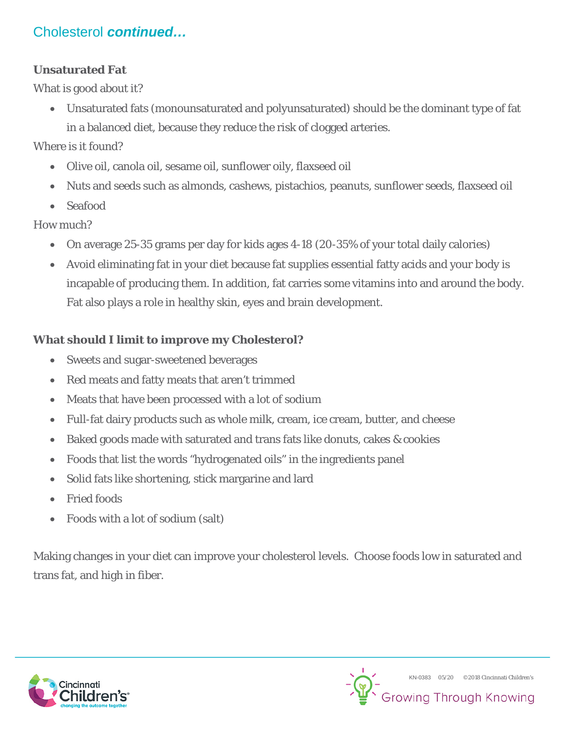# Cholesterol *continued…*

### **Unsaturated Fat**

What is good about it?

• Unsaturated fats (monounsaturated and polyunsaturated) should be the dominant type of fat in a balanced diet, because they reduce the risk of clogged arteries.

Where is it found?

- Olive oil, canola oil, sesame oil, sunflower oily, flaxseed oil
- Nuts and seeds such as almonds, cashews, pistachios, peanuts, sunflower seeds, flaxseed oil
- Seafood

How much?

- On average 25-35 grams per day for kids ages 4-18 (20-35% of your total daily calories)
- Avoid eliminating fat in your diet because fat supplies essential fatty acids and your body is incapable of producing them. In addition, fat carries some vitamins into and around the body. Fat also plays a role in healthy skin, eyes and brain development.

## **What should I limit to improve my Cholesterol?**

- Sweets and sugar-sweetened beverages
- Red meats and fatty meats that aren't trimmed
- Meats that have been processed with a lot of sodium
- Full-fat dairy products such as whole milk, cream, ice cream, butter, and cheese
- Baked goods made with saturated and trans fats like donuts, cakes & cookies
- Foods that list the words "hydrogenated oils" in the ingredients panel
- Solid fats like shortening, stick margarine and lard
- Fried foods
- Foods with a lot of sodium (salt)

Making changes in your diet can improve your cholesterol levels. Choose foods low in saturated and trans fat, and high in fiber.



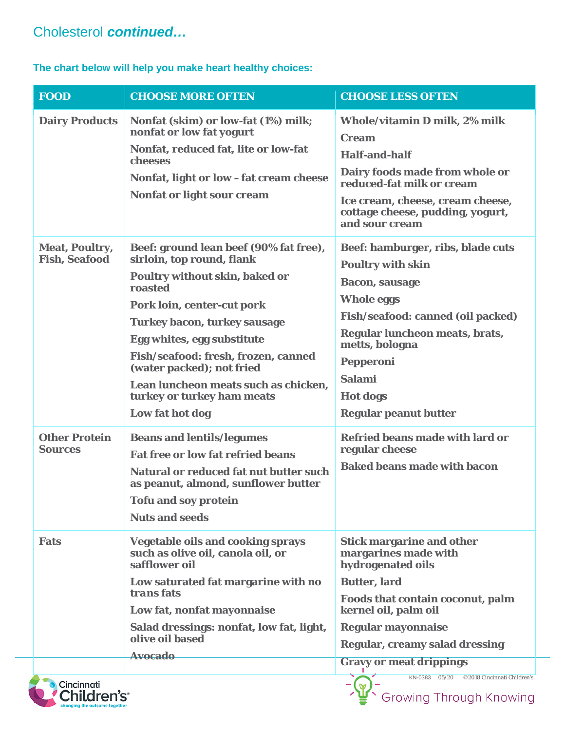## Cholesterol *continued…*

#### **The chart below will help you make heart healthy choices:**

| <b>FOOD</b>                                   | <b>CHOOSE MORE OFTEN</b>                                                                                                                                                                                                                                                                                                                                                                | <b>CHOOSE LESS OFTEN</b>                                                                                                                                                                                                                                                       |
|-----------------------------------------------|-----------------------------------------------------------------------------------------------------------------------------------------------------------------------------------------------------------------------------------------------------------------------------------------------------------------------------------------------------------------------------------------|--------------------------------------------------------------------------------------------------------------------------------------------------------------------------------------------------------------------------------------------------------------------------------|
| <b>Dairy Products</b>                         | Nonfat (skim) or low-fat (1%) milk;<br>nonfat or low fat yogurt<br>Nonfat, reduced fat, lite or low-fat<br>cheeses<br>Nonfat, light or low-fat cream cheese<br><b>Nonfat or light sour cream</b>                                                                                                                                                                                        | Whole/vitamin D milk, 2% milk<br><b>Cream</b><br><b>Half-and-half</b><br>Dairy foods made from whole or<br>reduced-fat milk or cream<br>Ice cream, cheese, cream cheese,<br>cottage cheese, pudding, yogurt,<br>and sour cream                                                 |
| <b>Meat, Poultry,</b><br><b>Fish, Seafood</b> | Beef: ground lean beef (90% fat free),<br>sirloin, top round, flank<br><b>Poultry without skin, baked or</b><br>roasted<br>Pork loin, center-cut pork<br><b>Turkey bacon, turkey sausage</b><br>Egg whites, egg substitute<br>Fish/seafood: fresh, frozen, canned<br>(water packed); not fried<br>Lean luncheon meats such as chicken,<br>turkey or turkey ham meats<br>Low fat hot dog | Beef: hamburger, ribs, blade cuts<br><b>Poultry with skin</b><br><b>Bacon, sausage</b><br><b>Whole eggs</b><br>Fish/seafood: canned (oil packed)<br>Regular luncheon meats, brats,<br>metts, bologna<br>Pepperoni<br>Salami<br><b>Hot dogs</b><br><b>Regular peanut butter</b> |
| <b>Other Protein</b><br><b>Sources</b>        | <b>Beans and lentils/legumes</b><br><b>Fat free or low fat refried beans</b><br>Natural or reduced fat nut butter such<br>as peanut, almond, sunflower butter<br><b>Tofu and soy protein</b><br><b>Nuts and seeds</b>                                                                                                                                                                   | <b>Refried beans made with lard or</b><br>regular cheese<br><b>Baked beans made with bacon</b>                                                                                                                                                                                 |
| <b>Fats</b>                                   | <b>Vegetable oils and cooking sprays</b><br>such as olive oil, canola oil, or<br>safflower oil<br>Low saturated fat margarine with no<br><i>transfats</i><br>Low fat, nonfat mayonnaise<br>Salad dressings: nonfat, low fat, light,<br>olive oil based<br><b>Avocado</b>                                                                                                                | <b>Stick margarine and other</b><br>margarines made with<br>hydrogenated oils<br><b>Butter, lard</b><br>Foods that contain coconut, palm<br>kernel oil, palm oil<br><b>Regular mayonnaise</b><br><b>Regular, creamy salad dressing</b><br><b>Gravy or meat drippings</b>       |
| Cincinnati<br>Children's <sup>.</sup>         |                                                                                                                                                                                                                                                                                                                                                                                         | KN-0383 05/20<br>©2018 Cincinnati Children's<br><b>Growing Through Knowing</b>                                                                                                                                                                                                 |